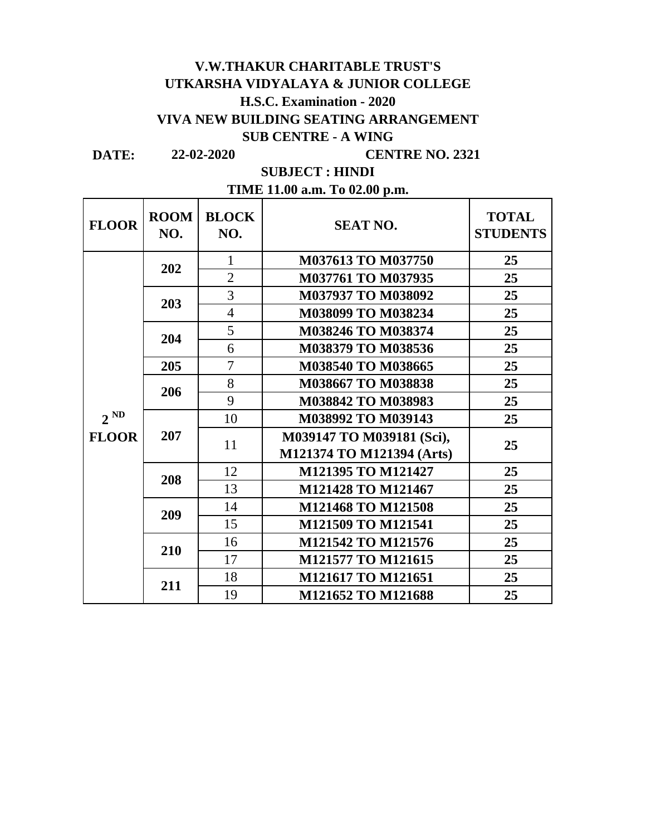## **V.W.THAKUR CHARITABLE TRUST'S UTKARSHA VIDYALAYA & JUNIOR COLLEGE H.S.C. Examination - 2020 VIVA NEW BUILDING SEATING ARRANGEMENT SUB CENTRE - A WING**

**DATE:**

 $\overline{\phantom{a}}$ 

**22-02-2020 CENTRE NO. 2321**

 $\overline{\phantom{a}}$ 

**SUBJECT : HINDI**

 $\blacksquare$ 

| TIME 11.00 a.m. To 02.00 p.m. |  |  |  |  |  |
|-------------------------------|--|--|--|--|--|
|-------------------------------|--|--|--|--|--|

| <b>FLOOR</b> | <b>ROOM</b><br>NO. | <b>BLOCK</b><br>NO. | <b>SEAT NO.</b>           | <b>TOTAL</b><br><b>STUDENTS</b> |
|--------------|--------------------|---------------------|---------------------------|---------------------------------|
|              | 202                | 1                   | M037613 TO M037750        | 25                              |
|              |                    | $\overline{2}$      | <b>M037761 TO M037935</b> | 25                              |
|              | 203                | 3                   | M037937 TO M038092        | 25                              |
|              |                    | $\overline{4}$      | M038099 TO M038234        | 25                              |
|              | 204                | 5                   | M038246 TO M038374        | 25                              |
|              |                    | 6                   | M038379 TO M038536        | 25                              |
|              | 205                | $\tau$              | M038540 TO M038665        | 25                              |
|              | 206                | 8                   | M038667 TO M038838        | 25                              |
|              |                    | 9                   | M038842 TO M038983        | 25                              |
| $2^{ND}$     | 207                | 10                  | M038992 TO M039143        | 25                              |
| <b>FLOOR</b> |                    | 11                  | M039147 TO M039181 (Sci), | 25                              |
|              |                    |                     | M121374 TO M121394 (Arts) |                                 |
|              | 208                | 12                  | M121395 TO M121427        | 25                              |
|              |                    | 13                  | M121428 TO M121467        | 25                              |
|              | 209                | 14                  | M121468 TO M121508        | 25                              |
|              |                    | 15                  | M121509 TO M121541        | 25                              |
|              | 210                | 16                  | M121542 TO M121576        | 25                              |
|              |                    | 17                  | M121577 TO M121615        | 25                              |
|              | 211                | 18                  | M121617 TO M121651        | 25                              |
|              |                    | 19                  | M121652 TO M121688        | 25                              |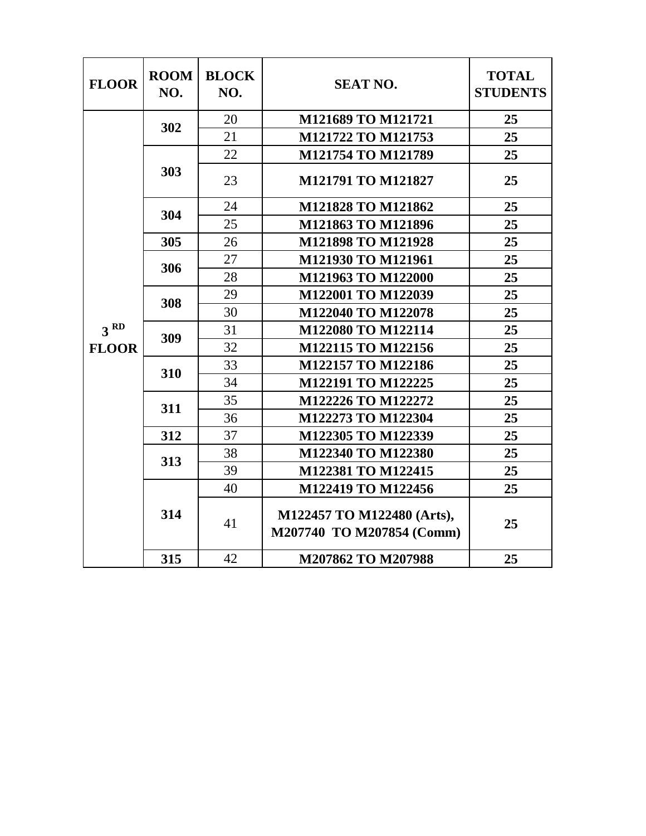| <b>FLOOR</b>    | <b>ROOM</b><br>NO. | <b>BLOCK</b><br>NO. | <b>SEAT NO.</b>                                         | <b>TOTAL</b><br><b>STUDENTS</b> |
|-----------------|--------------------|---------------------|---------------------------------------------------------|---------------------------------|
|                 | 302                | 20                  | M121689 TO M121721                                      | 25                              |
|                 |                    | 21                  | M121722 TO M121753                                      | 25                              |
|                 | 303                | 22                  | M121754 TO M121789                                      | 25                              |
|                 |                    | 23                  | M121791 TO M121827                                      | 25                              |
|                 | 304                | 24                  | M121828 TO M121862                                      | 25                              |
|                 |                    | 25                  | M121863 TO M121896                                      | 25                              |
|                 | 305                | 26                  | <b>M121898 TO M121928</b>                               | 25                              |
|                 | 306                | 27                  | M121930 TO M121961                                      | 25                              |
|                 |                    | 28                  | M121963 TO M122000                                      | 25                              |
|                 | 308                | 29                  | M122001 TO M122039                                      | 25                              |
|                 |                    | 30                  | M122040 TO M122078                                      | 25                              |
| 3 <sup>RD</sup> | 309                | 31                  | M122080 TO M122114                                      | 25                              |
| <b>FLOOR</b>    |                    | 32                  | M122115 TO M122156                                      | 25                              |
|                 | 310                | 33                  | M122157 TO M122186                                      | 25                              |
|                 |                    | 34                  | M122191 TO M122225                                      | 25                              |
|                 | 311                | 35                  | M122226 TO M122272                                      | 25                              |
|                 |                    | 36                  | M122273 TO M122304                                      | 25                              |
|                 | 312                | 37                  | M122305 TO M122339                                      | 25                              |
|                 | 313                | 38                  | M122340 TO M122380                                      | 25                              |
|                 |                    | 39                  | M122381 TO M122415                                      | 25                              |
|                 | 314                | 40                  | M122419 TO M122456                                      | 25                              |
|                 |                    | 41                  | M122457 TO M122480 (Arts),<br>M207740 TO M207854 (Comm) | 25                              |
|                 | 315                | 42                  | M207862 TO M207988                                      | 25                              |